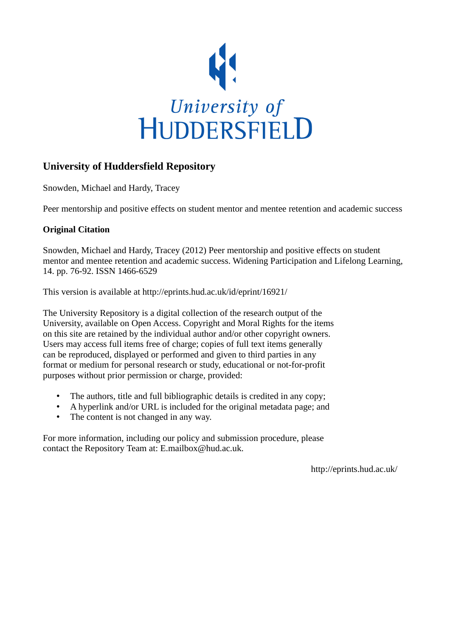

### **University of Huddersfield Repository**

Snowden, Michael and Hardy, Tracey

Peer mentorship and positive effects on student mentor and mentee retention and academic success

#### **Original Citation**

Snowden, Michael and Hardy, Tracey (2012) Peer mentorship and positive effects on student mentor and mentee retention and academic success. Widening Participation and Lifelong Learning, 14. pp. 76-92. ISSN 1466-6529

This version is available at http://eprints.hud.ac.uk/id/eprint/16921/

The University Repository is a digital collection of the research output of the University, available on Open Access. Copyright and Moral Rights for the items on this site are retained by the individual author and/or other copyright owners. Users may access full items free of charge; copies of full text items generally can be reproduced, displayed or performed and given to third parties in any format or medium for personal research or study, educational or not-for-profit purposes without prior permission or charge, provided:

- The authors, title and full bibliographic details is credited in any copy;
- A hyperlink and/or URL is included for the original metadata page; and
- The content is not changed in any way.

For more information, including our policy and submission procedure, please contact the Repository Team at: E.mailbox@hud.ac.uk.

http://eprints.hud.ac.uk/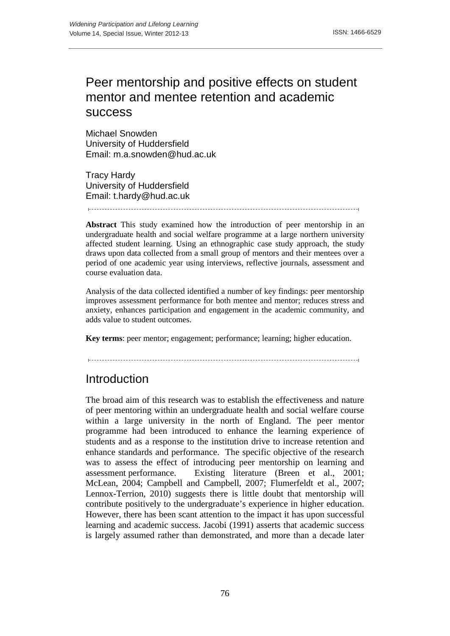# Peer mentorship and positive effects on student mentor and mentee retention and academic success

Michael Snowden University of Huddersfield Email: m.a.snowden@hud.ac.uk

Tracy Hardy University of Huddersfield Email: t.hardy@hud.ac.uk

**Abstract** This study examined how the introduction of peer mentorship in an undergraduate health and social welfare programme at a large northern university affected student learning. Using an ethnographic case study approach, the study draws upon data collected from a small group of mentors and their mentees over a period of one academic year using interviews, reflective journals, assessment and course evaluation data.

Analysis of the data collected identified a number of key findings: peer mentorship improves assessment performance for both mentee and mentor; reduces stress and anxiety, enhances participation and engagement in the academic community, and adds value to student outcomes.

**Key terms**: peer mentor; engagement; performance; learning; higher education.

## Introduction

The broad aim of this research was to establish the effectiveness and nature of peer mentoring within an undergraduate health and social welfare course within a large university in the north of England. The peer mentor programme had been introduced to enhance the learning experience of students and as a response to the institution drive to increase retention and enhance standards and performance. The specific objective of the research was to assess the effect of introducing peer mentorship on learning and assessment performance. Existing literature (Breen et al., 2001; McLean, 2004; Campbell and Campbell, 2007; Flumerfeldt et al., 2007; Lennox-Terrion, 2010) suggests there is little doubt that mentorship will contribute positively to the undergraduate's experience in higher education. However, there has been scant attention to the impact it has upon successful learning and academic success. Jacobi (1991) asserts that academic success is largely assumed rather than demonstrated, and more than a decade later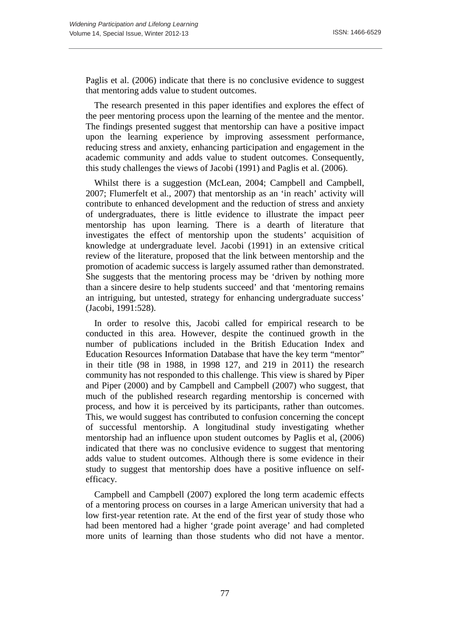Paglis et al. (2006) indicate that there is no conclusive evidence to suggest that mentoring adds value to student outcomes.

The research presented in this paper identifies and explores the effect of the peer mentoring process upon the learning of the mentee and the mentor. The findings presented suggest that mentorship can have a positive impact upon the learning experience by improving assessment performance, reducing stress and anxiety, enhancing participation and engagement in the academic community and adds value to student outcomes. Consequently, this study challenges the views of Jacobi (1991) and Paglis et al. (2006).

Whilst there is a suggestion (McLean, 2004; Campbell and Campbell, 2007; Flumerfelt et al., 2007) that mentorship as an 'in reach' activity will contribute to enhanced development and the reduction of stress and anxiety of undergraduates, there is little evidence to illustrate the impact peer mentorship has upon learning. There is a dearth of literature that investigates the effect of mentorship upon the students' acquisition of knowledge at undergraduate level. Jacobi (1991) in an extensive critical review of the literature, proposed that the link between mentorship and the promotion of academic success is largely assumed rather than demonstrated. She suggests that the mentoring process may be 'driven by nothing more than a sincere desire to help students succeed' and that 'mentoring remains an intriguing, but untested, strategy for enhancing undergraduate success' (Jacobi, 1991:528).

In order to resolve this, Jacobi called for empirical research to be conducted in this area. However, despite the continued growth in the number of publications included in the British Education Index and Education Resources Information Database that have the key term "mentor" in their title (98 in 1988, in 1998 127, and 219 in 2011) the research community has not responded to this challenge. This view is shared by Piper and Piper (2000) and by Campbell and Campbell (2007) who suggest, that much of the published research regarding mentorship is concerned with process, and how it is perceived by its participants, rather than outcomes. This, we would suggest has contributed to confusion concerning the concept of successful mentorship. A longitudinal study investigating whether mentorship had an influence upon student outcomes by Paglis et al, (2006) indicated that there was no conclusive evidence to suggest that mentoring adds value to student outcomes. Although there is some evidence in their study to suggest that mentorship does have a positive influence on selfefficacy.

Campbell and Campbell (2007) explored the long term academic effects of a mentoring process on courses in a large American university that had a low first-year retention rate. At the end of the first year of study those who had been mentored had a higher 'grade point average' and had completed more units of learning than those students who did not have a mentor.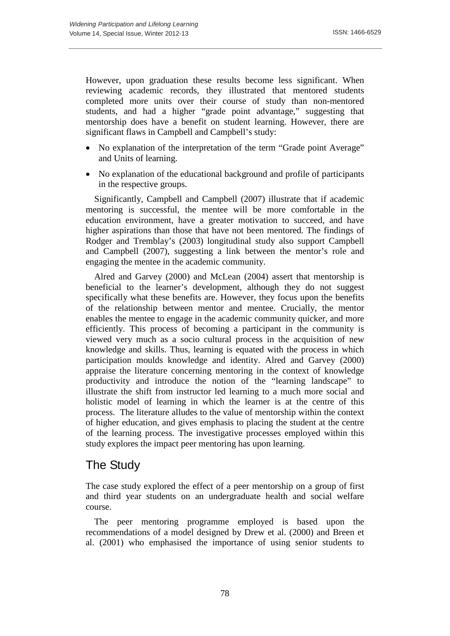However, upon graduation these results become less significant. When reviewing academic records, they illustrated that mentored students completed more units over their course of study than non-mentored students, and had a higher "grade point advantage," suggesting that mentorship does have a benefit on student learning. However, there are significant flaws in Campbell and Campbell's study:

- No explanation of the interpretation of the term "Grade point Average" and Units of learning.
- No explanation of the educational background and profile of participants in the respective groups.

Significantly, Campbell and Campbell (2007) illustrate that if academic mentoring is successful, the mentee will be more comfortable in the education environment, have a greater motivation to succeed, and have higher aspirations than those that have not been mentored. The findings of Rodger and Tremblay's (2003) longitudinal study also support Campbell and Campbell (2007), suggesting a link between the mentor's role and engaging the mentee in the academic community.

Alred and Garvey (2000) and McLean (2004) assert that mentorship is beneficial to the learner's development, although they do not suggest specifically what these benefits are. However, they focus upon the benefits of the relationship between mentor and mentee. Crucially, the mentor enables the mentee to engage in the academic community quicker, and more efficiently. This process of becoming a participant in the community is viewed very much as a socio cultural process in the acquisition of new knowledge and skills. Thus, learning is equated with the process in which participation moulds knowledge and identity. Alred and Garvey (2000) appraise the literature concerning mentoring in the context of knowledge productivity and introduce the notion of the "learning landscape" to illustrate the shift from instructor led learning to a much more social and holistic model of learning in which the learner is at the centre of this process. The literature alludes to the value of mentorship within the context of higher education, and gives emphasis to placing the student at the centre of the learning process. The investigative processes employed within this study explores the impact peer mentoring has upon learning.

### The Study

The case study explored the effect of a peer mentorship on a group of first and third year students on an undergraduate health and social welfare course.

The peer mentoring programme employed is based upon the recommendations of a model designed by Drew et al. (2000) and Breen et al. (2001) who emphasised the importance of using senior students to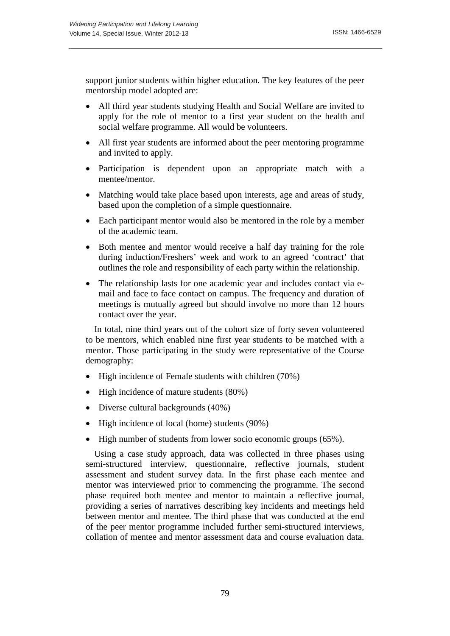support junior students within higher education. The key features of the peer mentorship model adopted are:

- All third year students studying Health and Social Welfare are invited to apply for the role of mentor to a first year student on the health and social welfare programme. All would be volunteers.
- All first year students are informed about the peer mentoring programme and invited to apply.
- Participation is dependent upon an appropriate match with a mentee/mentor.
- Matching would take place based upon interests, age and areas of study, based upon the completion of a simple questionnaire.
- Each participant mentor would also be mentored in the role by a member of the academic team.
- Both mentee and mentor would receive a half day training for the role during induction/Freshers' week and work to an agreed 'contract' that outlines the role and responsibility of each party within the relationship.
- The relationship lasts for one academic year and includes contact via email and face to face contact on campus. The frequency and duration of meetings is mutually agreed but should involve no more than 12 hours contact over the year.

In total, nine third years out of the cohort size of forty seven volunteered to be mentors, which enabled nine first year students to be matched with a mentor. Those participating in the study were representative of the Course demography:

- High incidence of Female students with children (70%)
- High incidence of mature students (80%)
- Diverse cultural backgrounds (40%)
- High incidence of local (home) students (90%)
- High number of students from lower socio economic groups (65%).

Using a case study approach, data was collected in three phases using semi-structured interview, questionnaire, reflective journals, student assessment and student survey data. In the first phase each mentee and mentor was interviewed prior to commencing the programme. The second phase required both mentee and mentor to maintain a reflective journal, providing a series of narratives describing key incidents and meetings held between mentor and mentee. The third phase that was conducted at the end of the peer mentor programme included further semi-structured interviews, collation of mentee and mentor assessment data and course evaluation data.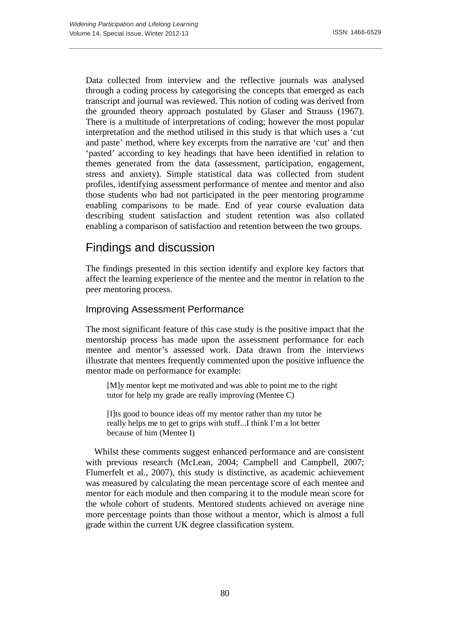Data collected from interview and the reflective journals was analysed through a coding process by categorising the concepts that emerged as each transcript and journal was reviewed. This notion of coding was derived from the grounded theory approach postulated by Glaser and Strauss (1967). There is a multitude of interpretations of coding; however the most popular interpretation and the method utilised in this study is that which uses a 'cut and paste' method, where key excerpts from the narrative are 'cut' and then 'pasted' according to key headings that have been identified in relation to themes generated from the data (assessment, participation, engagement, stress and anxiety). Simple statistical data was collected from student profiles, identifying assessment performance of mentee and mentor and also those students who had not participated in the peer mentoring programme enabling comparisons to be made. End of year course evaluation data describing student satisfaction and student retention was also collated enabling a comparison of satisfaction and retention between the two groups.

## Findings and discussion

The findings presented in this section identify and explore key factors that affect the learning experience of the mentee and the mentor in relation to the peer mentoring process.

#### Improving Assessment Performance

The most significant feature of this case study is the positive impact that the mentorship process has made upon the assessment performance for each mentee and mentor's assessed work. Data drawn from the interviews illustrate that mentees frequently commented upon the positive influence the mentor made on performance for example:

[M]y mentor kept me motivated and was able to point me to the right tutor for help my grade are really improving (Mentee C)

[I]ts good to bounce ideas off my mentor rather than my tutor he really helps me to get to grips with stuff...I think I'm a lot better because of him (Mentee I)

Whilst these comments suggest enhanced performance and are consistent with previous research (McLean, 2004; Campbell and Campbell, 2007; Flumerfelt et al., 2007), this study is distinctive, as academic achievement was measured by calculating the mean percentage score of each mentee and mentor for each module and then comparing it to the module mean score for the whole cohort of students. Mentored students achieved on average nine more percentage points than those without a mentor, which is almost a full grade within the current UK degree classification system.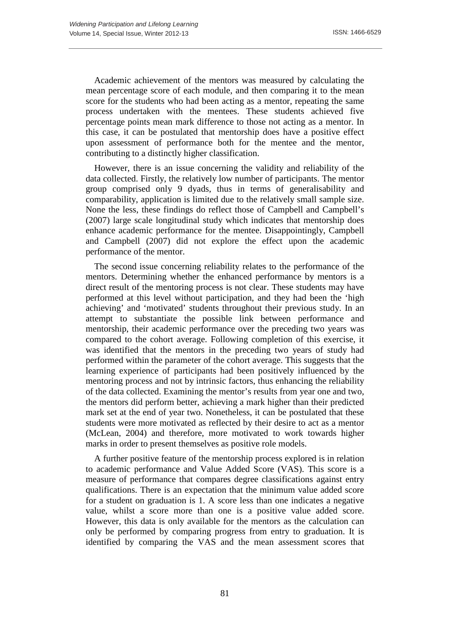Academic achievement of the mentors was measured by calculating the mean percentage score of each module, and then comparing it to the mean score for the students who had been acting as a mentor, repeating the same process undertaken with the mentees. These students achieved five percentage points mean mark difference to those not acting as a mentor. In this case, it can be postulated that mentorship does have a positive effect upon assessment of performance both for the mentee and the mentor, contributing to a distinctly higher classification.

However, there is an issue concerning the validity and reliability of the data collected. Firstly, the relatively low number of participants. The mentor group comprised only 9 dyads, thus in terms of generalisability and comparability, application is limited due to the relatively small sample size. None the less, these findings do reflect those of Campbell and Campbell's (2007) large scale longitudinal study which indicates that mentorship does enhance academic performance for the mentee. Disappointingly, Campbell and Campbell (2007) did not explore the effect upon the academic performance of the mentor.

The second issue concerning reliability relates to the performance of the mentors. Determining whether the enhanced performance by mentors is a direct result of the mentoring process is not clear. These students may have performed at this level without participation, and they had been the 'high achieving' and 'motivated' students throughout their previous study. In an attempt to substantiate the possible link between performance and mentorship, their academic performance over the preceding two years was compared to the cohort average. Following completion of this exercise, it was identified that the mentors in the preceding two years of study had performed within the parameter of the cohort average. This suggests that the learning experience of participants had been positively influenced by the mentoring process and not by intrinsic factors, thus enhancing the reliability of the data collected. Examining the mentor's results from year one and two, the mentors did perform better, achieving a mark higher than their predicted mark set at the end of year two. Nonetheless, it can be postulated that these students were more motivated as reflected by their desire to act as a mentor (McLean, 2004) and therefore, more motivated to work towards higher marks in order to present themselves as positive role models.

A further positive feature of the mentorship process explored is in relation to academic performance and Value Added Score (VAS). This score is a measure of performance that compares degree classifications against entry qualifications. There is an expectation that the minimum value added score for a student on graduation is 1. A score less than one indicates a negative value, whilst a score more than one is a positive value added score. However, this data is only available for the mentors as the calculation can only be performed by comparing progress from entry to graduation. It is identified by comparing the VAS and the mean assessment scores that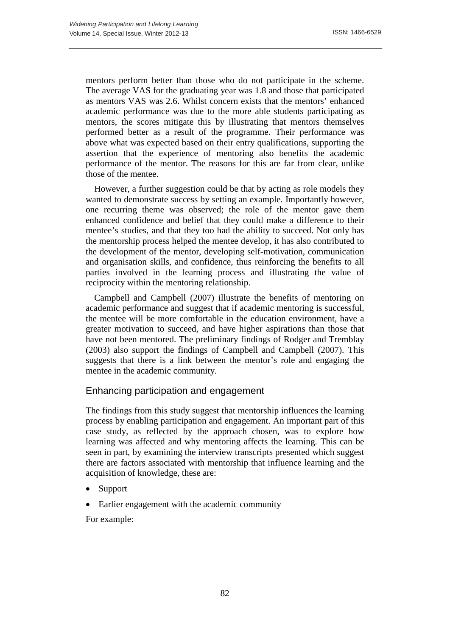mentors perform better than those who do not participate in the scheme. The average VAS for the graduating year was 1.8 and those that participated as mentors VAS was 2.6. Whilst concern exists that the mentors' enhanced academic performance was due to the more able students participating as mentors, the scores mitigate this by illustrating that mentors themselves performed better as a result of the programme. Their performance was above what was expected based on their entry qualifications, supporting the assertion that the experience of mentoring also benefits the academic performance of the mentor. The reasons for this are far from clear, unlike those of the mentee.

However, a further suggestion could be that by acting as role models they wanted to demonstrate success by setting an example. Importantly however, one recurring theme was observed; the role of the mentor gave them enhanced confidence and belief that they could make a difference to their mentee's studies, and that they too had the ability to succeed. Not only has the mentorship process helped the mentee develop, it has also contributed to the development of the mentor, developing self-motivation, communication and organisation skills, and confidence, thus reinforcing the benefits to all parties involved in the learning process and illustrating the value of reciprocity within the mentoring relationship.

Campbell and Campbell (2007) illustrate the benefits of mentoring on academic performance and suggest that if academic mentoring is successful, the mentee will be more comfortable in the education environment, have a greater motivation to succeed, and have higher aspirations than those that have not been mentored. The preliminary findings of Rodger and Tremblay (2003) also support the findings of Campbell and Campbell (2007). This suggests that there is a link between the mentor's role and engaging the mentee in the academic community.

#### Enhancing participation and engagement

The findings from this study suggest that mentorship influences the learning process by enabling participation and engagement. An important part of this case study, as reflected by the approach chosen, was to explore how learning was affected and why mentoring affects the learning. This can be seen in part, by examining the interview transcripts presented which suggest there are factors associated with mentorship that influence learning and the acquisition of knowledge, these are:

- **Support**
- Earlier engagement with the academic community

For example: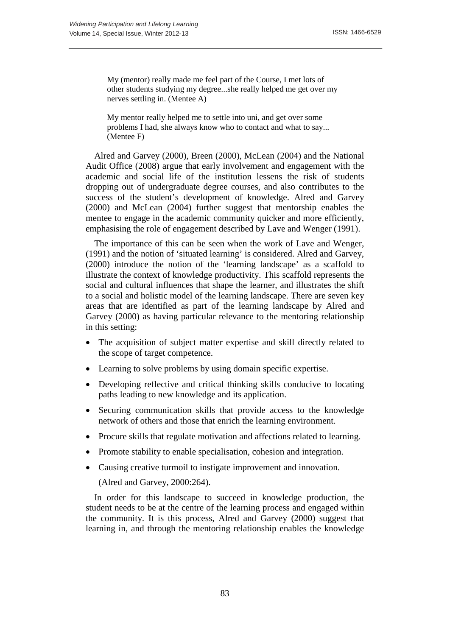My (mentor) really made me feel part of the Course, I met lots of other students studying my degree...she really helped me get over my nerves settling in. (Mentee A)

My mentor really helped me to settle into uni, and get over some problems I had, she always know who to contact and what to say... (Mentee F)

Alred and Garvey (2000), Breen (2000), McLean (2004) and the National Audit Office (2008) argue that early involvement and engagement with the academic and social life of the institution lessens the risk of students dropping out of undergraduate degree courses, and also contributes to the success of the student's development of knowledge. Alred and Garvey (2000) and McLean (2004) further suggest that mentorship enables the mentee to engage in the academic community quicker and more efficiently, emphasising the role of engagement described by Lave and Wenger (1991).

The importance of this can be seen when the work of Lave and Wenger, (1991) and the notion of 'situated learning' is considered. Alred and Garvey, (2000) introduce the notion of the 'learning landscape' as a scaffold to illustrate the context of knowledge productivity. This scaffold represents the social and cultural influences that shape the learner, and illustrates the shift to a social and holistic model of the learning landscape. There are seven key areas that are identified as part of the learning landscape by Alred and Garvey (2000) as having particular relevance to the mentoring relationship in this setting:

- The acquisition of subject matter expertise and skill directly related to the scope of target competence.
- Learning to solve problems by using domain specific expertise.
- Developing reflective and critical thinking skills conducive to locating paths leading to new knowledge and its application.
- Securing communication skills that provide access to the knowledge network of others and those that enrich the learning environment.
- Procure skills that regulate motivation and affections related to learning.
- Promote stability to enable specialisation, cohesion and integration.
- Causing creative turmoil to instigate improvement and innovation.

(Alred and Garvey, 2000:264).

In order for this landscape to succeed in knowledge production, the student needs to be at the centre of the learning process and engaged within the community. It is this process, Alred and Garvey (2000) suggest that learning in, and through the mentoring relationship enables the knowledge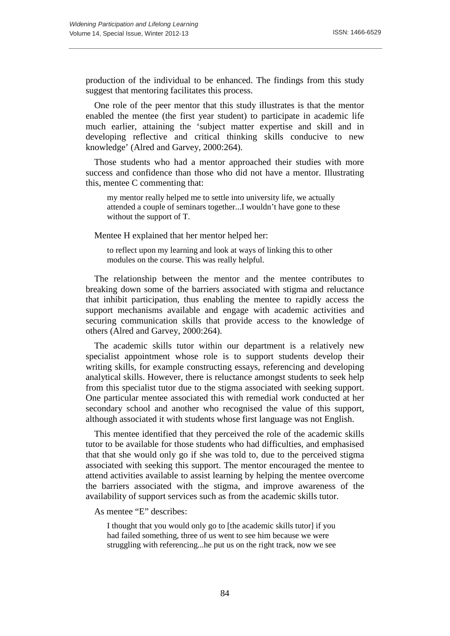production of the individual to be enhanced. The findings from this study suggest that mentoring facilitates this process.

One role of the peer mentor that this study illustrates is that the mentor enabled the mentee (the first year student) to participate in academic life much earlier, attaining the 'subject matter expertise and skill and in developing reflective and critical thinking skills conducive to new knowledge' (Alred and Garvey, 2000:264).

Those students who had a mentor approached their studies with more success and confidence than those who did not have a mentor. Illustrating this, mentee C commenting that:

my mentor really helped me to settle into university life, we actually attended a couple of seminars together...I wouldn't have gone to these without the support of T.

Mentee H explained that her mentor helped her:

to reflect upon my learning and look at ways of linking this to other modules on the course. This was really helpful.

The relationship between the mentor and the mentee contributes to breaking down some of the barriers associated with stigma and reluctance that inhibit participation, thus enabling the mentee to rapidly access the support mechanisms available and engage with academic activities and securing communication skills that provide access to the knowledge of others (Alred and Garvey, 2000:264).

The academic skills tutor within our department is a relatively new specialist appointment whose role is to support students develop their writing skills, for example constructing essays, referencing and developing analytical skills. However, there is reluctance amongst students to seek help from this specialist tutor due to the stigma associated with seeking support. One particular mentee associated this with remedial work conducted at her secondary school and another who recognised the value of this support, although associated it with students whose first language was not English.

This mentee identified that they perceived the role of the academic skills tutor to be available for those students who had difficulties, and emphasised that that she would only go if she was told to, due to the perceived stigma associated with seeking this support. The mentor encouraged the mentee to attend activities available to assist learning by helping the mentee overcome the barriers associated with the stigma, and improve awareness of the availability of support services such as from the academic skills tutor.

As mentee "E" describes:

I thought that you would only go to [the academic skills tutor] if you had failed something, three of us went to see him because we were struggling with referencing...he put us on the right track, now we see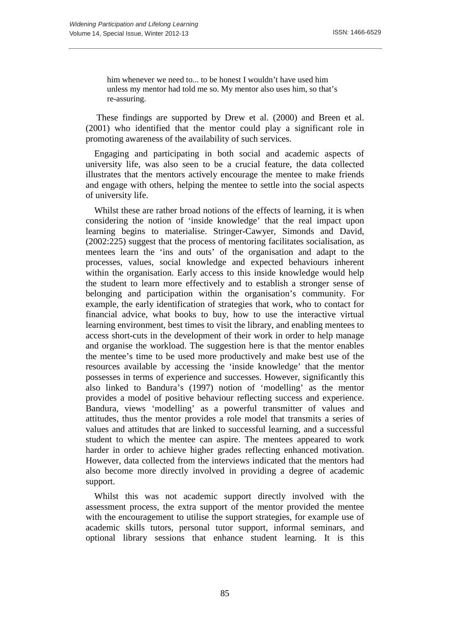him whenever we need to... to be honest I wouldn't have used him unless my mentor had told me so. My mentor also uses him, so that's re-assuring.

These findings are supported by Drew et al. (2000) and Breen et al. (2001) who identified that the mentor could play a significant role in promoting awareness of the availability of such services.

Engaging and participating in both social and academic aspects of university life, was also seen to be a crucial feature, the data collected illustrates that the mentors actively encourage the mentee to make friends and engage with others, helping the mentee to settle into the social aspects of university life.

Whilst these are rather broad notions of the effects of learning, it is when considering the notion of 'inside knowledge' that the real impact upon learning begins to materialise. Stringer-Cawyer, Simonds and David, (2002:225) suggest that the process of mentoring facilitates socialisation, as mentees learn the 'ins and outs' of the organisation and adapt to the processes, values, social knowledge and expected behaviours inherent within the organisation. Early access to this inside knowledge would help the student to learn more effectively and to establish a stronger sense of belonging and participation within the organisation's community. For example, the early identification of strategies that work, who to contact for financial advice, what books to buy, how to use the interactive virtual learning environment, best times to visit the library, and enabling mentees to access short-cuts in the development of their work in order to help manage and organise the workload. The suggestion here is that the mentor enables the mentee's time to be used more productively and make best use of the resources available by accessing the 'inside knowledge' that the mentor possesses in terms of experience and successes. However, significantly this also linked to Bandura's (1997) notion of 'modelling' as the mentor provides a model of positive behaviour reflecting success and experience. Bandura, views 'modelling' as a powerful transmitter of values and attitudes, thus the mentor provides a role model that transmits a series of values and attitudes that are linked to successful learning, and a successful student to which the mentee can aspire. The mentees appeared to work harder in order to achieve higher grades reflecting enhanced motivation. However, data collected from the interviews indicated that the mentors had also become more directly involved in providing a degree of academic support.

Whilst this was not academic support directly involved with the assessment process, the extra support of the mentor provided the mentee with the encouragement to utilise the support strategies, for example use of academic skills tutors, personal tutor support, informal seminars, and optional library sessions that enhance student learning. It is this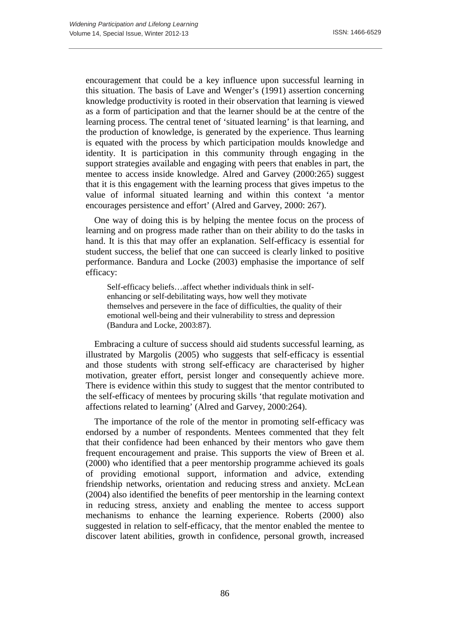encouragement that could be a key influence upon successful learning in this situation. The basis of Lave and Wenger's (1991) assertion concerning knowledge productivity is rooted in their observation that learning is viewed as a form of participation and that the learner should be at the centre of the learning process. The central tenet of 'situated learning' is that learning, and the production of knowledge, is generated by the experience. Thus learning is equated with the process by which participation moulds knowledge and identity. It is participation in this community through engaging in the support strategies available and engaging with peers that enables in part, the mentee to access inside knowledge. Alred and Garvey (2000:265) suggest that it is this engagement with the learning process that gives impetus to the value of informal situated learning and within this context 'a mentor encourages persistence and effort' (Alred and Garvey, 2000: 267).

One way of doing this is by helping the mentee focus on the process of learning and on progress made rather than on their ability to do the tasks in hand. It is this that may offer an explanation. Self-efficacy is essential for student success, the belief that one can succeed is clearly linked to positive performance. Bandura and Locke (2003) emphasise the importance of self efficacy:

Self-efficacy beliefs…affect whether individuals think in selfenhancing or self-debilitating ways, how well they motivate themselves and persevere in the face of difficulties, the quality of their emotional well-being and their vulnerability to stress and depression (Bandura and Locke, 2003:87).

Embracing a culture of success should aid students successful learning, as illustrated by Margolis (2005) who suggests that self-efficacy is essential and those students with strong self-efficacy are characterised by higher motivation, greater effort, persist longer and consequently achieve more. There is evidence within this study to suggest that the mentor contributed to the self-efficacy of mentees by procuring skills 'that regulate motivation and affections related to learning' (Alred and Garvey, 2000:264).

The importance of the role of the mentor in promoting self-efficacy was endorsed by a number of respondents. Mentees commented that they felt that their confidence had been enhanced by their mentors who gave them frequent encouragement and praise. This supports the view of Breen et al. (2000) who identified that a peer mentorship programme achieved its goals of providing emotional support, information and advice, extending friendship networks, orientation and reducing stress and anxiety. McLean (2004) also identified the benefits of peer mentorship in the learning context in reducing stress, anxiety and enabling the mentee to access support mechanisms to enhance the learning experience. Roberts (2000) also suggested in relation to self-efficacy, that the mentor enabled the mentee to discover latent abilities, growth in confidence, personal growth, increased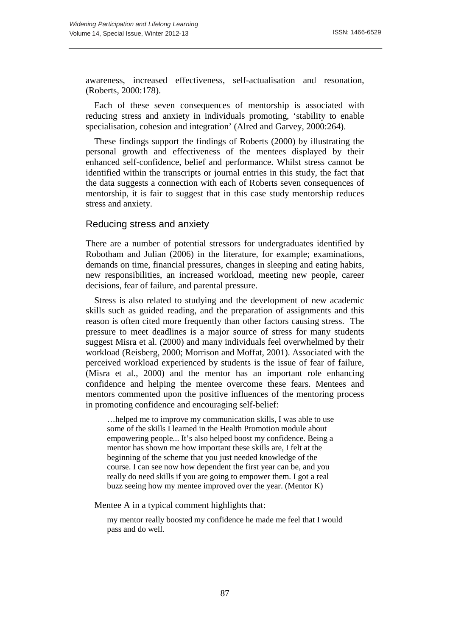awareness, increased effectiveness, self-actualisation and resonation, (Roberts, 2000:178).

Each of these seven consequences of mentorship is associated with reducing stress and anxiety in individuals promoting, 'stability to enable specialisation, cohesion and integration' (Alred and Garvey, 2000:264).

These findings support the findings of Roberts (2000) by illustrating the personal growth and effectiveness of the mentees displayed by their enhanced self-confidence, belief and performance. Whilst stress cannot be identified within the transcripts or journal entries in this study, the fact that the data suggests a connection with each of Roberts seven consequences of mentorship, it is fair to suggest that in this case study mentorship reduces stress and anxiety.

#### Reducing stress and anxiety

There are a number of potential stressors for undergraduates identified by Robotham and Julian (2006) in the literature, for example; examinations, demands on time, financial pressures, changes in sleeping and eating habits, new responsibilities, an increased workload, meeting new people, career decisions, fear of failure, and parental pressure.

Stress is also related to studying and the development of new academic skills such as guided reading, and the preparation of assignments and this reason is often cited more frequently than other factors causing stress. The pressure to meet deadlines is a major source of stress for many students suggest Misra et al. (2000) and many individuals feel overwhelmed by their workload (Reisberg, 2000; Morrison and Moffat, 2001). Associated with the perceived workload experienced by students is the issue of fear of failure, (Misra et al., 2000) and the mentor has an important role enhancing confidence and helping the mentee overcome these fears. Mentees and mentors commented upon the positive influences of the mentoring process in promoting confidence and encouraging self-belief:

…helped me to improve my communication skills, I was able to use some of the skills I learned in the Health Promotion module about empowering people... It's also helped boost my confidence. Being a mentor has shown me how important these skills are, I felt at the beginning of the scheme that you just needed knowledge of the course. I can see now how dependent the first year can be, and you really do need skills if you are going to empower them. I got a real buzz seeing how my mentee improved over the year. (Mentor K)

Mentee A in a typical comment highlights that:

my mentor really boosted my confidence he made me feel that I would pass and do well.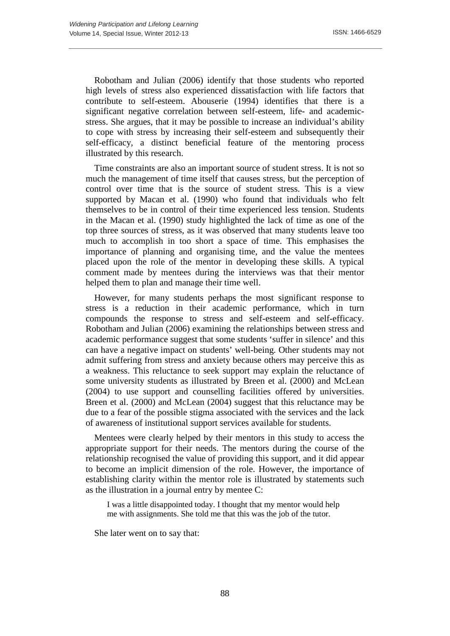Robotham and Julian (2006) identify that those students who reported high levels of stress also experienced dissatisfaction with life factors that contribute to self-esteem. Abouserie (1994) identifies that there is a significant negative correlation between self-esteem, life- and academicstress. She argues, that it may be possible to increase an individual's ability to cope with stress by increasing their self-esteem and subsequently their self-efficacy, a distinct beneficial feature of the mentoring process illustrated by this research.

Time constraints are also an important source of student stress. It is not so much the management of time itself that causes stress, but the perception of control over time that is the source of student stress. This is a view supported by Macan et al. (1990) who found that individuals who felt themselves to be in control of their time experienced less tension. Students in the Macan et al. (1990) study highlighted the lack of time as one of the top three sources of stress, as it was observed that many students leave too much to accomplish in too short a space of time. This emphasises the importance of planning and organising time, and the value the mentees placed upon the role of the mentor in developing these skills. A typical comment made by mentees during the interviews was that their mentor helped them to plan and manage their time well.

However, for many students perhaps the most significant response to stress is a reduction in their academic performance, which in turn compounds the response to stress and self-esteem and self-efficacy. Robotham and Julian (2006) examining the relationships between stress and academic performance suggest that some students 'suffer in silence' and this can have a negative impact on students' well-being. Other students may not admit suffering from stress and anxiety because others may perceive this as a weakness. This reluctance to seek support may explain the reluctance of some university students as illustrated by Breen et al. (2000) and McLean (2004) to use support and counselling facilities offered by universities. Breen et al. (2000) and McLean (2004) suggest that this reluctance may be due to a fear of the possible stigma associated with the services and the lack of awareness of institutional support services available for students.

Mentees were clearly helped by their mentors in this study to access the appropriate support for their needs. The mentors during the course of the relationship recognised the value of providing this support, and it did appear to become an implicit dimension of the role. However, the importance of establishing clarity within the mentor role is illustrated by statements such as the illustration in a journal entry by mentee C:

I was a little disappointed today. I thought that my mentor would help me with assignments. She told me that this was the job of the tutor.

She later went on to say that: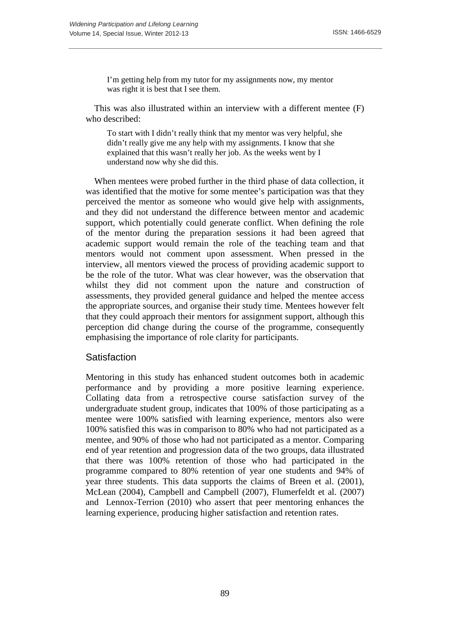I'm getting help from my tutor for my assignments now, my mentor was right it is best that I see them.

This was also illustrated within an interview with a different mentee (F) who described:

To start with I didn't really think that my mentor was very helpful, she didn't really give me any help with my assignments. I know that she explained that this wasn't really her job. As the weeks went by I understand now why she did this.

When mentees were probed further in the third phase of data collection, it was identified that the motive for some mentee's participation was that they perceived the mentor as someone who would give help with assignments, and they did not understand the difference between mentor and academic support, which potentially could generate conflict. When defining the role of the mentor during the preparation sessions it had been agreed that academic support would remain the role of the teaching team and that mentors would not comment upon assessment. When pressed in the interview, all mentors viewed the process of providing academic support to be the role of the tutor. What was clear however, was the observation that whilst they did not comment upon the nature and construction of assessments, they provided general guidance and helped the mentee access the appropriate sources, and organise their study time. Mentees however felt that they could approach their mentors for assignment support, although this perception did change during the course of the programme, consequently emphasising the importance of role clarity for participants.

#### **Satisfaction**

Mentoring in this study has enhanced student outcomes both in academic performance and by providing a more positive learning experience. Collating data from a retrospective course satisfaction survey of the undergraduate student group, indicates that 100% of those participating as a mentee were 100% satisfied with learning experience, mentors also were 100% satisfied this was in comparison to 80% who had not participated as a mentee, and 90% of those who had not participated as a mentor. Comparing end of year retention and progression data of the two groups, data illustrated that there was 100% retention of those who had participated in the programme compared to 80% retention of year one students and 94% of year three students. This data supports the claims of Breen et al. (2001), McLean (2004), Campbell and Campbell (2007), Flumerfeldt et al. (2007) and Lennox-Terrion (2010) who assert that peer mentoring enhances the learning experience, producing higher satisfaction and retention rates.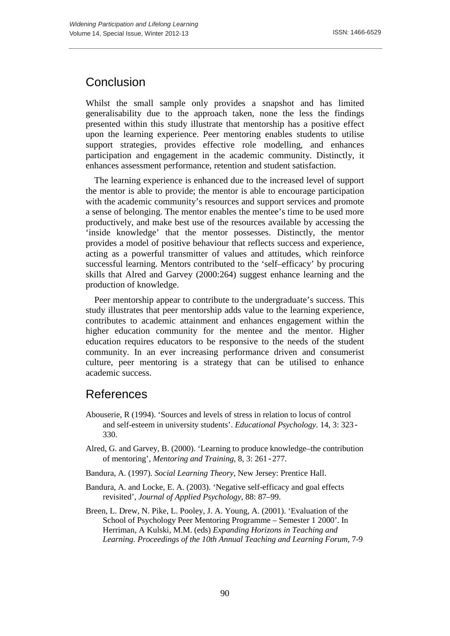### Conclusion

Whilst the small sample only provides a snapshot and has limited generalisability due to the approach taken, none the less the findings presented within this study illustrate that mentorship has a positive effect upon the learning experience. Peer mentoring enables students to utilise support strategies, provides effective role modelling, and enhances participation and engagement in the academic community. Distinctly, it enhances assessment performance, retention and student satisfaction.

The learning experience is enhanced due to the increased level of support the mentor is able to provide; the mentor is able to encourage participation with the academic community's resources and support services and promote a sense of belonging. The mentor enables the mentee's time to be used more productively, and make best use of the resources available by accessing the 'inside knowledge' that the mentor possesses. Distinctly, the mentor provides a model of positive behaviour that reflects success and experience, acting as a powerful transmitter of values and attitudes, which reinforce successful learning. Mentors contributed to the 'self–efficacy' by procuring skills that Alred and Garvey (2000:264) suggest enhance learning and the production of knowledge.

Peer mentorship appear to contribute to the undergraduate's success. This study illustrates that peer mentorship adds value to the learning experience, contributes to academic attainment and enhances engagement within the higher education community for the mentee and the mentor. Higher education requires educators to be responsive to the needs of the student community. In an ever increasing performance driven and consumerist culture, peer mentoring is a strategy that can be utilised to enhance academic success.

# References

- Abouserie, R (1994). 'Sources and levels of stress in relation to locus of control and self-esteem in university students'. *Educational Psychology*. 14, 3: 323- 330.
- Alred, G. and Garvey, B. (2000). 'Learning to produce knowledge–the contribution of mentoring', *Mentoring and Training*, 8, 3: 261-277.
- Bandura, A. (1997). *Social Learning Theory*, New Jersey: Prentice Hall.
- Bandura, A. and Locke, E. A. (2003). 'Negative self-efficacy and goal effects revisited', *Journal of Applied Psychology*, 88: 87–99.
- Breen, L. Drew, N. Pike, L. Pooley, J. A. Young, A. (2001). 'Evaluation of the School of Psychology Peer Mentoring Programme – Semester 1 2000'. In Herriman, A Kulski, M.M. (eds) *Expanding Horizons in Teaching and Learning. Proceedings of the 10th Annual Teaching and Learning Forum,* 7-9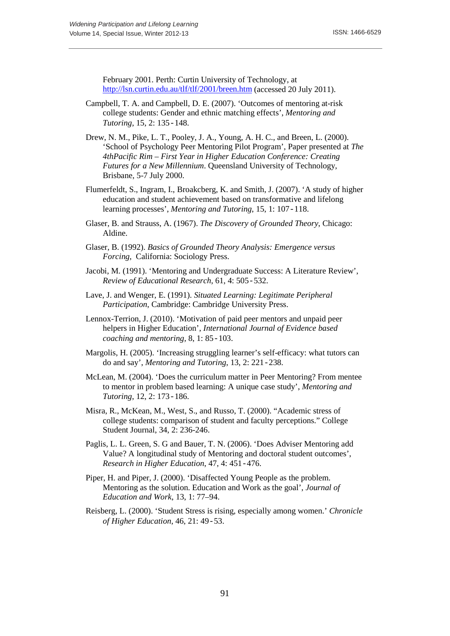February 2001. Perth: Curtin University of Technology, at <http://lsn.curtin.edu.au/tlf/tlf/2001/breen.htm> (accessed 20 July 2011).

- Campbell, T. A. and Campbell, D. E. (2007). 'Outcomes of mentoring at-risk college students: Gender and ethnic matching effects', *Mentoring and Tutoring*, 15, 2: 135-148.
- Drew, N. M., Pike, L. T., Pooley, J. A., Young, A. H. C., and Breen, L. (2000). 'School of Psychology Peer Mentoring Pilot Program', Paper presented at *The 4thPacific Rim – First Year in Higher Education Conference: Creating Futures for a New Millennium*. Queensland University of Technology, Brisbane, 5-7 July 2000.
- Flumerfeldt, S., Ingram, I., Broakcberg, K. and Smith, J. (2007). 'A study of higher education and student achievement based on transformative and lifelong learning processes', *Mentoring and Tutoring*, 15, 1: 107-118.
- Glaser, B. and Strauss, A. (1967). *The Discovery of Grounded Theory*, Chicago: Aldine.
- Glaser, B. (1992). *Basics of Grounded Theory Analysis: Emergence versus Forcing,* California: Sociology Press.
- Jacobi, M. (1991). 'Mentoring and Undergraduate Success: A Literature Review', *Review of Educational Research*, 61, 4: 505-532.
- Lave, J. and Wenger, E. (1991). *Situated Learning: Legitimate Peripheral Participation*, Cambridge: Cambridge University Press.
- Lennox-Terrion, J. (2010). 'Motivation of paid peer mentors and unpaid peer helpers in Higher Education', *International Journal of Evidence based coaching and mentoring,* 8, 1: 85-103.
- Margolis, H. (2005). 'Increasing struggling learner's self-efficacy: what tutors can do and say', *Mentoring and Tutoring*, 13, 2: 221-238.
- McLean, M. (2004). 'Does the curriculum matter in Peer Mentoring? From mentee to mentor in problem based learning: A unique case study', *Mentoring and Tutoring*, 12, 2: 173-186.
- Misra, R., McKean, M., West, S., and Russo, T. (2000). "Academic stress of college students: comparison of student and faculty perceptions." College Student Journal, 34, 2: 236-246.
- Paglis, L. L. Green, S. G and Bauer, T. N. (2006). 'Does Adviser Mentoring add Value? A longitudinal study of Mentoring and doctoral student outcomes', *Research in Higher Education*, 47, 4: 451-476.
- Piper, H. and Piper, J. (2000). 'Disaffected Young People as the problem. Mentoring as the solution. Education and Work as the goal', *Journal of Education and Work*, 13, 1: 77–94.
- Reisberg, L. (2000). 'Student Stress is rising, especially among women.' *Chronicle of Higher Education*, 46, 21: 49-53.